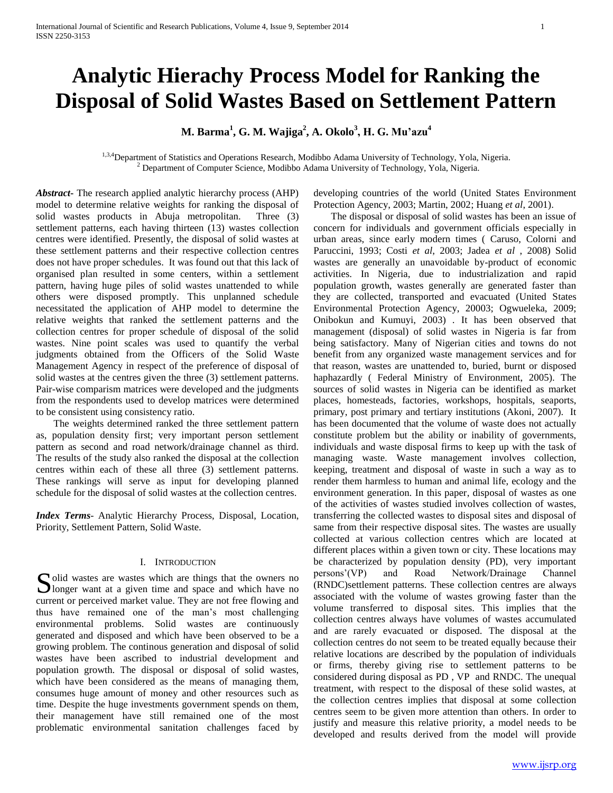# **Analytic Hierachy Process Model for Ranking the Disposal of Solid Wastes Based on Settlement Pattern**

**M. Barma<sup>1</sup> , G. M. Wajiga<sup>2</sup> , A. Okolo<sup>3</sup> , H. G. Mu'azu<sup>4</sup>**

<sup>1,3,4</sup>Department of Statistics and Operations Research, Modibbo Adama University of Technology, Yola, Nigeria.  $2^2$  Department of Computer Science, Modibbo Adama University of Technology, Yola, Nigeria.

*Abstract***-** The research applied analytic hierarchy process (AHP) model to determine relative weights for ranking the disposal of solid wastes products in Abuja metropolitan. Three (3) settlement patterns, each having thirteen (13) wastes collection centres were identified. Presently, the disposal of solid wastes at these settlement patterns and their respective collection centres does not have proper schedules. It was found out that this lack of organised plan resulted in some centers, within a settlement pattern, having huge piles of solid wastes unattended to while others were disposed promptly. This unplanned schedule necessitated the application of AHP model to determine the relative weights that ranked the settlement patterns and the collection centres for proper schedule of disposal of the solid wastes. Nine point scales was used to quantify the verbal judgments obtained from the Officers of the Solid Waste Management Agency in respect of the preference of disposal of solid wastes at the centres given the three (3) settlement patterns. Pair-wise comparism matrices were developed and the judgments from the respondents used to develop matrices were determined to be consistent using consistency ratio.

 The weights determined ranked the three settlement pattern as, population density first; very important person settlement pattern as second and road network/drainage channel as third. The results of the study also ranked the disposal at the collection centres within each of these all three (3) settlement patterns. These rankings will serve as input for developing planned schedule for the disposal of solid wastes at the collection centres.

*Index Terms*- Analytic Hierarchy Process, Disposal, Location, Priority, Settlement Pattern, Solid Waste.

# I. INTRODUCTION

Solid wastes are wastes which are things that the owners no<br>
Slonger want at a given time and space and which have no **I** longer want at a given time and space and which have no current or perceived market value. They are not free flowing and thus have remained one of the man's most challenging environmental problems. Solid wastes are continuously generated and disposed and which have been observed to be a growing problem. The continous generation and disposal of solid wastes have been ascribed to industrial development and population growth. The disposal or disposal of solid wastes, which have been considered as the means of managing them, consumes huge amount of money and other resources such as time. Despite the huge investments government spends on them, their management have still remained one of the most problematic environmental sanitation challenges faced by

developing countries of the world (United States Environment Protection Agency, 2003; Martin, 2002; Huang *et al*, 2001).

 The disposal or disposal of solid wastes has been an issue of concern for individuals and government officials especially in urban areas, since early modern times ( Caruso, Colorni and Paruccini, 1993; Costi *et al*, 2003; Jadea *et al* , 2008) Solid wastes are generally an unavoidable by-product of economic activities. In Nigeria, due to industrialization and rapid population growth, wastes generally are generated faster than they are collected, transported and evacuated (United States Environmental Protection Agency, 20003; Ogwueleka, 2009; Onibokun and Kumuyi, 2003) . It has been observed that management (disposal) of solid wastes in Nigeria is far from being satisfactory. Many of Nigerian cities and towns do not benefit from any organized waste management services and for that reason, wastes are unattended to, buried, burnt or disposed haphazardly ( Federal Ministry of Environment, 2005). The sources of solid wastes in Nigeria can be identified as market places, homesteads, factories, workshops, hospitals, seaports, primary, post primary and tertiary institutions (Akoni, 2007). It has been documented that the volume of waste does not actually constitute problem but the ability or inability of governments, individuals and waste disposal firms to keep up with the task of managing waste. Waste management involves collection, keeping, treatment and disposal of waste in such a way as to render them harmless to human and animal life, ecology and the environment generation. In this paper, disposal of wastes as one of the activities of wastes studied involves collection of wastes, transferring the collected wastes to disposal sites and disposal of same from their respective disposal sites. The wastes are usually collected at various collection centres which are located at different places within a given town or city. These locations may be characterized by population density (PD), very important persons'(VP) and Road Network/Drainage Channel (RNDC)settlement patterns. These collection centres are always associated with the volume of wastes growing faster than the volume transferred to disposal sites. This implies that the collection centres always have volumes of wastes accumulated and are rarely evacuated or disposed. The disposal at the collection centres do not seem to be treated equally because their relative locations are described by the population of individuals or firms, thereby giving rise to settlement patterns to be considered during disposal as PD , VP and RNDC. The unequal treatment, with respect to the disposal of these solid wastes, at the collection centres implies that disposal at some collection centres seem to be given more attention than others. In order to justify and measure this relative priority, a model needs to be developed and results derived from the model will provide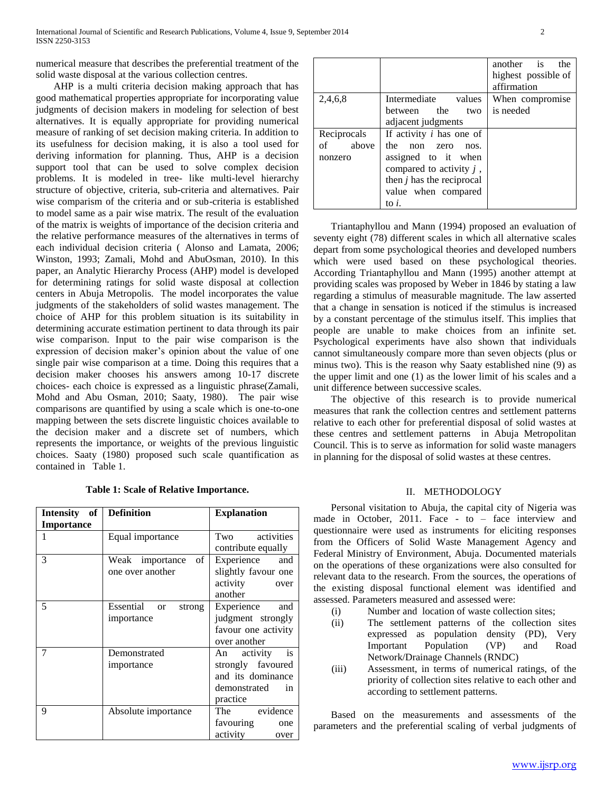numerical measure that describes the preferential treatment of the solid waste disposal at the various collection centres.

 AHP is a multi criteria decision making approach that has good mathematical properties appropriate for incorporating value judgments of decision makers in modeling for selection of best alternatives. It is equally appropriate for providing numerical measure of ranking of set decision making criteria. In addition to its usefulness for decision making, it is also a tool used for deriving information for planning. Thus, AHP is a decision support tool that can be used to solve complex decision problems. It is modeled in tree- like multi-level hierarchy structure of objective, criteria, sub-criteria and alternatives. Pair wise comparism of the criteria and or sub-criteria is established to model same as a pair wise matrix. The result of the evaluation of the matrix is weights of importance of the decision criteria and the relative performance measures of the alternatives in terms of each individual decision criteria ( Alonso and Lamata, 2006; Winston, 1993; Zamali, Mohd and AbuOsman, 2010). In this paper, an Analytic Hierarchy Process (AHP) model is developed for determining ratings for solid waste disposal at collection centers in Abuja Metropolis. The model incorporates the value judgments of the stakeholders of solid wastes management. The choice of AHP for this problem situation is its suitability in determining accurate estimation pertinent to data through its pair wise comparison. Input to the pair wise comparison is the expression of decision maker's opinion about the value of one single pair wise comparison at a time. Doing this requires that a decision maker chooses his answers among 10-17 discrete choices- each choice is expressed as a linguistic phrase(Zamali, Mohd and Abu Osman, 2010; Saaty, 1980). The pair wise comparisons are quantified by using a scale which is one-to-one mapping between the sets discrete linguistic choices available to the decision maker and a discrete set of numbers, which represents the importance, or weights of the previous linguistic choices. Saaty (1980) proposed such scale quantification as contained in Table 1.

| Table 1: Scale of Relative Importance. |  |
|----------------------------------------|--|
|                                        |  |

| Intensity of      | <b>Definition</b>                | <b>Explanation</b>  |
|-------------------|----------------------------------|---------------------|
| <b>Importance</b> |                                  |                     |
|                   | Equal importance                 | Two activities      |
|                   |                                  | contribute equally  |
| 3                 | of<br>Weak importance            | Experience and      |
|                   | one over another                 | slightly favour one |
|                   |                                  | activity<br>over    |
|                   |                                  | another             |
| 5                 | Essential<br>strong<br><b>or</b> | Experience and      |
|                   | importance                       | judgment strongly   |
|                   |                                  | favour one activity |
|                   |                                  | over another        |
| 7                 | Demonstrated                     | An activity is      |
|                   | importance                       | strongly favoured   |
|                   |                                  | and its dominance   |
|                   |                                  | demonstrated<br>in  |
|                   |                                  | practice            |
| 9                 | Absolute importance              | The evidence        |
|                   |                                  | favouring<br>one    |
|                   |                                  | activity<br>over    |

|             |                             | another is<br>the<br>highest possible of<br>affirmation |
|-------------|-----------------------------|---------------------------------------------------------|
|             |                             |                                                         |
| 2,4,6,8     | Intermediate<br>values      | When compromise                                         |
|             | between the two             | is needed                                               |
|             | adjacent judgments          |                                                         |
| Reciprocals | If activity $i$ has one of  |                                                         |
| above<br>of | the non zero<br>nos.        |                                                         |
| nonzero     | assigned to it when         |                                                         |
|             | compared to activity $j$ ,  |                                                         |
|             | then $j$ has the reciprocal |                                                         |
|             | value when compared         |                                                         |
|             | to i.                       |                                                         |

 Triantaphyllou and Mann (1994) proposed an evaluation of seventy eight (78) different scales in which all alternative scales depart from some psychological theories and developed numbers which were used based on these psychological theories. According Triantaphyllou and Mann (1995) another attempt at providing scales was proposed by Weber in 1846 by stating a law regarding a stimulus of measurable magnitude. The law asserted that a change in sensation is noticed if the stimulus is increased by a constant percentage of the stimulus itself. This implies that people are unable to make choices from an infinite set. Psychological experiments have also shown that individuals cannot simultaneously compare more than seven objects (plus or minus two). This is the reason why Saaty established nine (9) as the upper limit and one (1) as the lower limit of his scales and a unit difference between successive scales.

 The objective of this research is to provide numerical measures that rank the collection centres and settlement patterns relative to each other for preferential disposal of solid wastes at these centres and settlement patterns in Abuja Metropolitan Council. This is to serve as information for solid waste managers in planning for the disposal of solid wastes at these centres.

#### II. METHODOLOGY

 Personal visitation to Abuja, the capital city of Nigeria was made in October, 2011. Face - to - face interview and questionnaire were used as instruments for eliciting responses from the Officers of Solid Waste Management Agency and Federal Ministry of Environment, Abuja. Documented materials on the operations of these organizations were also consulted for relevant data to the research. From the sources, the operations of the existing disposal functional element was identified and assessed. Parameters measured and assessed were:

- (i) Number and location of waste collection sites;
- (ii) The settlement patterns of the collection sites expressed as population density (PD), Very Important Population (VP) and Road Network/Drainage Channels (RNDC)
- (iii) Assessment, in terms of numerical ratings, of the priority of collection sites relative to each other and according to settlement patterns.

 Based on the measurements and assessments of the parameters and the preferential scaling of verbal judgments of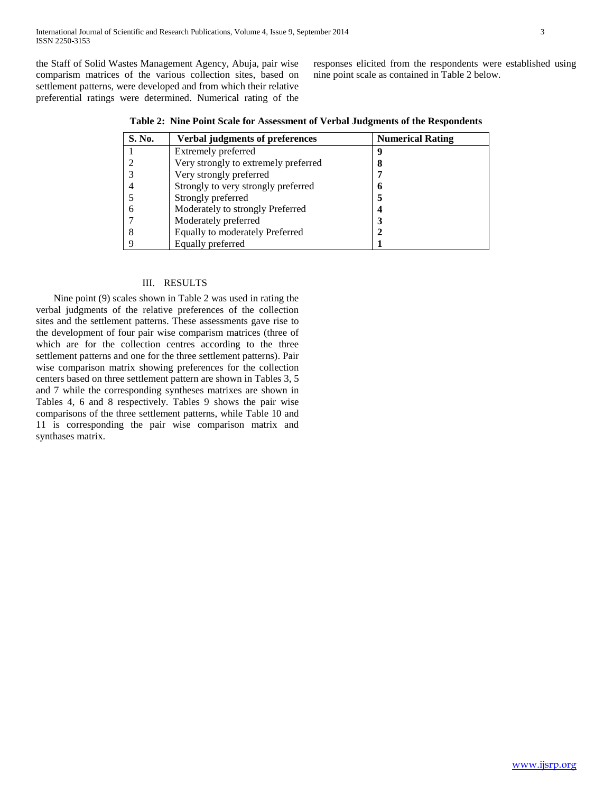the Staff of Solid Wastes Management Agency, Abuja, pair wise comparism matrices of the various collection sites, based on settlement patterns, were developed and from which their relative preferential ratings were determined. Numerical rating of the responses elicited from the respondents were established using nine point scale as contained in Table 2 below.

| S. No. | <b>Verbal judgments of preferences</b> | <b>Numerical Rating</b> |
|--------|----------------------------------------|-------------------------|
|        | Extremely preferred                    |                         |
|        | Very strongly to extremely preferred   | о                       |
|        | Very strongly preferred                |                         |
|        | Strongly to very strongly preferred    | n                       |
|        | Strongly preferred                     |                         |
|        | Moderately to strongly Preferred       |                         |
|        | Moderately preferred                   |                         |
|        | <b>Equally to moderately Preferred</b> |                         |
|        | Equally preferred                      |                         |

#### III. RESULTS

 Nine point (9) scales shown in Table 2 was used in rating the verbal judgments of the relative preferences of the collection sites and the settlement patterns. These assessments gave rise to the development of four pair wise comparism matrices (three of which are for the collection centres according to the three settlement patterns and one for the three settlement patterns). Pair wise comparison matrix showing preferences for the collection centers based on three settlement pattern are shown in Tables 3, 5 and 7 while the corresponding syntheses matrixes are shown in Tables 4, 6 and 8 respectively. Tables 9 shows the pair wise comparisons of the three settlement patterns, while Table 10 and 11 is corresponding the pair wise comparison matrix and synthases matrix.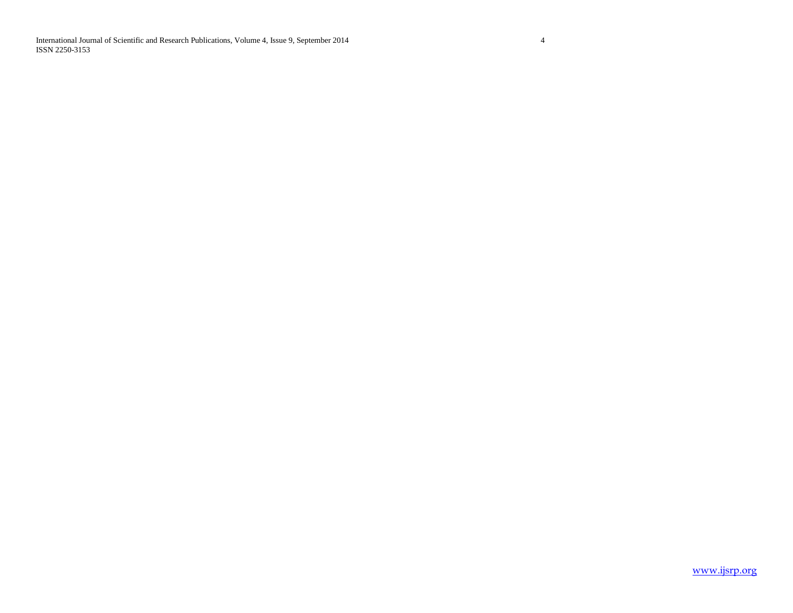International Journal of Scientific and Research Publications, Volume 4, Issue 9, September 2014 4 ISSN 2250-3153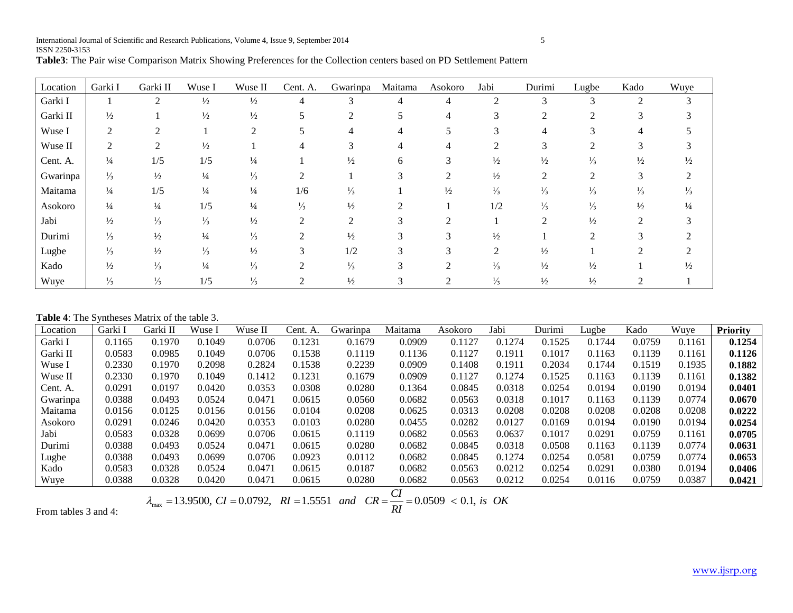**Table3**: The Pair wise Comparison Matrix Showing Preferences for the Collection centers based on PD Settlement Pattern

| Location | Garki I       | Garki II      | Wuse I        | Wuse II        | Cent. A.      | Gwarinpa       | Maitama | Asokoro       | Jabi           | Durimi         | Lugbe          | Kado          | Wuye           |
|----------|---------------|---------------|---------------|----------------|---------------|----------------|---------|---------------|----------------|----------------|----------------|---------------|----------------|
| Garki I  |               | 2             | $\frac{1}{2}$ | $\frac{1}{2}$  | 4             | 3              | 4       | 4             | $\overline{2}$ |                | J.             | ∠             | 3              |
| Garki II | $\frac{1}{2}$ |               | $\frac{1}{2}$ | $\frac{1}{2}$  |               | $\mathfrak{D}$ |         | 4             |                |                | ◠              |               | 3              |
| Wuse I   | 2             | 2             |               | $\mathfrak{D}$ | 5             |                |         | 5             | 3              |                |                |               | 5              |
| Wuse II  | 2             | 2             | $\frac{1}{2}$ |                | 4             | 3              | 4       | 4             | 2              |                |                |               | 3              |
| Cent. A. | $\frac{1}{4}$ | 1/5           | 1/5           | $\frac{1}{4}$  |               | $\frac{1}{2}$  | 6       | 3             | $\frac{1}{2}$  | $\frac{1}{2}$  | $\frac{1}{3}$  | $\frac{1}{2}$ | $\frac{1}{2}$  |
| Gwarinpa | $\frac{1}{3}$ | $\frac{1}{2}$ | $\frac{1}{4}$ | $\frac{1}{3}$  | 2             |                |         |               | $\frac{1}{2}$  | 2              | $\mathfrak{D}$ |               | $\overline{2}$ |
| Maitama  | $\frac{1}{4}$ | 1/5           | $\frac{1}{4}$ | $\frac{1}{4}$  | 1/6           | $\frac{1}{3}$  |         | $\frac{1}{2}$ | $\frac{1}{3}$  | $\frac{1}{3}$  | $\frac{1}{3}$  | $\frac{1}{3}$ | $\frac{1}{3}$  |
| Asokoro  | $\frac{1}{4}$ | $\frac{1}{4}$ | 1/5           | $\frac{1}{4}$  | $\frac{1}{3}$ | $\frac{1}{2}$  |         |               | 1/2            | $\frac{1}{3}$  | $\frac{1}{3}$  | $\frac{1}{2}$ | $\frac{1}{4}$  |
| Jabi     | $1/2$         | $\frac{1}{3}$ | $\frac{1}{3}$ | $\frac{1}{2}$  | ◠             | $\mathfrak{D}$ |         |               |                | $\mathfrak{D}$ | $\frac{1}{2}$  |               | 3              |
| Durimi   | $\frac{1}{3}$ | $\frac{1}{2}$ | $\frac{1}{4}$ | $\frac{1}{3}$  | 2             | $\frac{1}{2}$  | 3       | 3             | $\frac{1}{2}$  |                | $\overline{2}$ |               | $\mathfrak{D}$ |
| Lugbe    | $\frac{1}{3}$ | $\frac{1}{2}$ | $\frac{1}{3}$ | $\frac{1}{2}$  | 3             | 1/2            |         | ⌒             | $\overline{2}$ | $\frac{1}{2}$  |                |               | 2              |
| Kado     | $1/2$         | $\frac{1}{3}$ | $\frac{1}{4}$ | $\frac{1}{3}$  | ⌒             | $\frac{1}{3}$  |         | ◠             | $\frac{1}{3}$  | $\frac{1}{2}$  | $\frac{1}{2}$  |               | $\frac{1}{2}$  |
| Wuye     | $\frac{1}{3}$ | $\frac{1}{3}$ | 1/5           | $\frac{1}{3}$  | 2             | $\frac{1}{2}$  | 3       | 2             | $\frac{1}{3}$  | $\frac{1}{2}$  | $\frac{1}{2}$  |               |                |

**Table 4**: The Syntheses Matrix of the table 3.

| Location | Garki I                                                                                                                                                                 | Garki II | Wuse I | Wuse II | Cent. A. | Gwarinpa | Maitama | Asokoro | Jabi   | Durimi | Lugbe  | Kado   | Wuye   | <b>Priority</b> |
|----------|-------------------------------------------------------------------------------------------------------------------------------------------------------------------------|----------|--------|---------|----------|----------|---------|---------|--------|--------|--------|--------|--------|-----------------|
| Garki I  | 0.1165                                                                                                                                                                  | 0.1970   | 0.1049 | 0.0706  | 0.1231   | 0.1679   | 0.0909  | 0.1127  | 0.1274 | 0.1525 | 0.1744 | 0.0759 | 0.1161 | 0.1254          |
| Garki II | 0.0583                                                                                                                                                                  | 0.0985   | 0.1049 | 0.0706  | 0.1538   | 0.1119   | 0.1136  | 0.1127  | 0.1911 | 0.1017 | 0.1163 | 0.1139 | 0.1161 | 0.1126          |
| Wuse I   | 0.2330                                                                                                                                                                  | 0.1970   | 0.2098 | 0.2824  | 0.1538   | 0.2239   | 0.0909  | 0.1408  | 0.1911 | 0.2034 | 0.1744 | 0.1519 | 0.1935 | 0.1882          |
| Wuse II  | 0.2330                                                                                                                                                                  | 0.1970   | 0.1049 | 0.1412  | 0.1231   | 0.1679   | 0.0909  | 0.1127  | 0.1274 | 0.1525 | 0.1163 | 0.1139 | 0.1161 | 0.1382          |
| Cent. A. | 0.0291                                                                                                                                                                  | 0.0197   | 0.0420 | 0.0353  | 0.0308   | 0.0280   | 0.1364  | 0.0845  | 0.0318 | 0.0254 | 0.0194 | 0.0190 | 0.0194 | 0.0401          |
| Gwarinpa | 0.0388                                                                                                                                                                  | 0.0493   | 0.0524 | 0.0471  | 0.0615   | 0.0560   | 0.0682  | 0.0563  | 0.0318 | 0.1017 | 0.1163 | 0.1139 | 0.0774 | 0.0670          |
| Maitama  | 0.0156                                                                                                                                                                  | 0.0125   | 0.0156 | 0.0156  | 0.0104   | 0.0208   | 0.0625  | 0.0313  | 0.0208 | 0.0208 | 0.0208 | 0.0208 | 0.0208 | 0.0222          |
| Asokoro  | 0.0291                                                                                                                                                                  | 0.0246   | 0.0420 | 0.0353  | 0.0103   | 0.0280   | 0.0455  | 0.0282  | 0.0127 | 0.0169 | 0.0194 | 0.0190 | 0.0194 | 0.0254          |
| Jabi     | 0.0583                                                                                                                                                                  | 0.0328   | 0.0699 | 0.0706  | 0.0615   | 0.1119   | 0.0682  | 0.0563  | 0.0637 | 0.1017 | 0.0291 | 0.0759 | 0.1161 | 0.0705          |
| Durimi   | 0.0388                                                                                                                                                                  | 0.0493   | 0.0524 | 0.0471  | 0.0615   | 0.0280   | 0.0682  | 0.0845  | 0.0318 | 0.0508 | 0.1163 | 0.1139 | 0.0774 | 0.0631          |
| Lugbe    | 0.0388                                                                                                                                                                  | 0.0493   | 0.0699 | 0.0706  | 0.0923   | 0.0112   | 0.0682  | 0.0845  | 0.1274 | 0.0254 | 0.0581 | 0.0759 | 0.0774 | 0.0653          |
| Kado     | 0.0583                                                                                                                                                                  | 0.0328   | 0.0524 | 0.0471  | 0.0615   | 0.0187   | 0.0682  | 0.0563  | 0.0212 | 0.0254 | 0.0291 | 0.0380 | 0.0194 | 0.0406          |
| Wuye     | 0.0388                                                                                                                                                                  | 0.0328   | 0.0420 | 0.0471  | 0.0615   | 0.0280   | 0.0682  | 0.0563  | 0.0212 | 0.0254 | 0.0116 | 0.0759 | 0.0387 | 0.0421          |
|          | $\lambda_{\text{max}} = 13.9500, \text{ CI} = 0.0792, \text{ RI} = 1.5551 \text{ and } \text{CR} = \frac{CI}{RI} = 0.0509 < 0.1, \text{ is OK}$<br>From tables 3 and 4: |          |        |         |          |          |         |         |        |        |        |        |        |                 |

$$
\lambda_{\text{max}} = 13.9500, \text{ CI} = 0.0792, \text{ RI} = 1.5551 \text{ and } \text{CR} = \frac{CI}{RI} = 0.0509 < 0.1, \text{ is OK}
$$

From tables 3 and 4: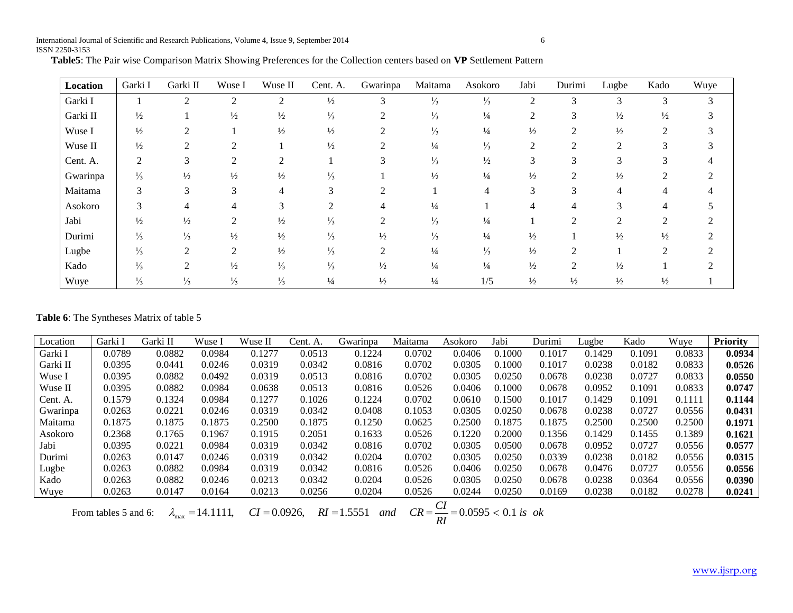# **Table5**: The Pair wise Comparison Matrix Showing Preferences for the Collection centers based on **VP** Settlement Pattern

| Location | Garki I        | Garki II      | Wuse I        | Wuse II        | Cent. A.      | Gwarinpa       | Maitama       | Asokoro       | Jabi           | Durimi         | Lugbe         | Kado           | Wuye          |
|----------|----------------|---------------|---------------|----------------|---------------|----------------|---------------|---------------|----------------|----------------|---------------|----------------|---------------|
| Garki I  |                | 2             | 2             | $\overline{c}$ | $\frac{1}{2}$ | 3              | $\frac{1}{3}$ | $\frac{1}{3}$ | $\overline{2}$ | 3              | 3             | 3              | 3             |
| Garki II | $\frac{1}{2}$  |               | $\frac{1}{2}$ | $\frac{1}{2}$  | $\frac{1}{3}$ | $\overline{2}$ | $\frac{1}{3}$ | $\frac{1}{4}$ | $\mathfrak{D}$ | 3              | $\frac{1}{2}$ | $\frac{1}{2}$  | 3             |
| Wuse I   | $\frac{1}{2}$  |               |               | $\frac{1}{2}$  | $\frac{1}{2}$ | $\mathfrak{D}$ | $\frac{1}{3}$ | $\frac{1}{4}$ | $\frac{1}{2}$  | 2              | $\frac{1}{2}$ | 2              | 3             |
| Wuse II  | $\frac{1}{2}$  |               |               |                | $\frac{1}{2}$ |                | $\frac{1}{4}$ | $\frac{1}{3}$ | 2              | 2              | 2             | 3              | 3             |
| Cent. A. | $\overline{c}$ |               |               |                |               |                | $\frac{1}{3}$ | $\frac{1}{2}$ |                | 3              |               | ⌒              |               |
| Gwarinpa | $\frac{1}{3}$  | $\frac{1}{2}$ | $\frac{1}{2}$ | $\frac{1}{2}$  | $\frac{1}{3}$ |                | $\frac{1}{2}$ | $\frac{1}{4}$ | $\frac{1}{2}$  | $\mathfrak{D}$ | $\frac{1}{2}$ | ◠              | 2             |
| Maitama  | 3              | 3             | 3             | 4              | 3             |                |               | 4             | 3              | 3              | 4             | 4              |               |
| Asokoro  | 3              |               | 4             | 3              |               |                | $\frac{1}{4}$ |               |                | 4              |               | 4              |               |
| Jabi     | $\frac{1}{2}$  | $\frac{1}{2}$ | ↑             | $\frac{1}{2}$  | $\frac{1}{3}$ |                | $\frac{1}{3}$ | $\frac{1}{4}$ |                | ◠              | ⌒             | ◠              |               |
| Durimi   | $\frac{1}{3}$  | $\frac{1}{3}$ | $\frac{1}{2}$ | $\frac{1}{2}$  | $\frac{1}{3}$ | $\frac{1}{2}$  | $\frac{1}{3}$ | $\frac{1}{4}$ | $\frac{1}{2}$  |                | $\frac{1}{2}$ | $\frac{1}{2}$  | 2             |
| Lugbe    | $\frac{1}{3}$  | 2             | 2             | $\frac{1}{2}$  | $\frac{1}{3}$ | 2              | $\frac{1}{4}$ | $\frac{1}{3}$ | $\frac{1}{2}$  | $\overline{2}$ |               | $\mathfrak{D}$ | $\mathcal{L}$ |
| Kado     | $\frac{1}{3}$  |               | $\frac{1}{2}$ | $\frac{1}{3}$  | $\frac{1}{3}$ | $\frac{1}{2}$  | $\frac{1}{4}$ | $\frac{1}{4}$ | $\frac{1}{2}$  | $\overline{2}$ | $\frac{1}{2}$ |                | $\mathcal{D}$ |
| Wuye     | $\frac{1}{3}$  | $\frac{1}{3}$ | $\frac{1}{3}$ | $\frac{1}{3}$  | $\frac{1}{4}$ | $\frac{1}{2}$  | $\frac{1}{4}$ | 1/5           | $\frac{1}{2}$  | $\frac{1}{2}$  | $\frac{1}{2}$ | $\frac{1}{2}$  |               |

**Table 6**: The Syntheses Matrix of table 5

| Location                                                                                                                                                              | Garki I | Garki II | Wuse I | Wuse II | Cent. A. | Gwarinpa | Maitama | Asokoro | Jabi   | Durimi | Lugbe  | Kado   | Wuye   | <b>Priority</b> |
|-----------------------------------------------------------------------------------------------------------------------------------------------------------------------|---------|----------|--------|---------|----------|----------|---------|---------|--------|--------|--------|--------|--------|-----------------|
| Garki I                                                                                                                                                               | 0.0789  | 0.0882   | 0.0984 | 0.1277  | 0.0513   | 0.1224   | 0.0702  | 0.0406  | 0.1000 | 0.1017 | 0.1429 | 0.1091 | 0.0833 | 0.0934          |
| Garki II                                                                                                                                                              | 0.0395  | 0.0441   | 0.0246 | 0.0319  | 0.0342   | 0.0816   | 0.0702  | 0.0305  | 0.1000 | 0.1017 | 0.0238 | 0.0182 | 0.0833 | 0.0526          |
| Wuse I                                                                                                                                                                | 0.0395  | 0.0882   | 0.0492 | 0.0319  | 0.0513   | 0.0816   | 0.0702  | 0.0305  | 0.0250 | 0.0678 | 0.0238 | 0.0727 | 0.0833 | 0.0550          |
| Wuse II                                                                                                                                                               | 0.0395  | 0.0882   | 0.0984 | 0.0638  | 0.0513   | 0.0816   | 0.0526  | 0.0406  | 0.1000 | 0.0678 | 0.0952 | 0.1091 | 0.0833 | 0.0747          |
| Cent. A.                                                                                                                                                              | 0.1579  | 0.1324   | 0.0984 | 0.1277  | 0.1026   | 0.1224   | 0.0702  | 0.0610  | 0.1500 | 0.1017 | 0.1429 | 0.1091 | 0.1111 | 0.1144          |
| Gwarinpa                                                                                                                                                              | 0.0263  | 0.0221   | 0.0246 | 0.0319  | 0.0342   | 0.0408   | 0.1053  | 0.0305  | 0.0250 | 0.0678 | 0.0238 | 0.0727 | 0.0556 | 0.0431          |
| Maitama                                                                                                                                                               | 0.1875  | 0.1875   | 0.1875 | 0.2500  | 0.1875   | 0.1250   | 0.0625  | 0.2500  | 0.1875 | 0.1875 | 0.2500 | 0.2500 | 0.2500 | 0.1971          |
| Asokoro                                                                                                                                                               | 0.2368  | 0.1765   | 0.1967 | 0.1915  | 0.2051   | 0.1633   | 0.0526  | 0.1220  | 0.2000 | 0.1356 | 0.1429 | 0.1455 | 0.1389 | 0.1621          |
| Jabi                                                                                                                                                                  | 0.0395  | 0.0221   | 0.0984 | 0.0319  | 0.0342   | 0.0816   | 0.0702  | 0.0305  | 0.0500 | 0.0678 | 0.0952 | 0.0727 | 0.0556 | 0.0577          |
| Durimi                                                                                                                                                                | 0.0263  | 0.0147   | 0.0246 | 0.0319  | 0.0342   | 0.0204   | 0.0702  | 0.0305  | 0.0250 | 0.0339 | 0.0238 | 0.0182 | 0.0556 | 0.0315          |
| Lugbe                                                                                                                                                                 | 0.0263  | 0.0882   | 0.0984 | 0.0319  | 0.0342   | 0.0816   | 0.0526  | 0.0406  | 0.0250 | 0.0678 | 0.0476 | 0.0727 | 0.0556 | 0.0556          |
| Kado                                                                                                                                                                  | 0.0263  | 0.0882   | 0.0246 | 0.0213  | 0.0342   | 0.0204   | 0.0526  | 0.0305  | 0.0250 | 0.0678 | 0.0238 | 0.0364 | 0.0556 | 0.0390          |
| Wuye                                                                                                                                                                  | 0.0263  | 0.0147   | 0.0164 | 0.0213  | 0.0256   | 0.0204   | 0.0526  | 0.0244  | 0.0250 | 0.0169 | 0.0238 | 0.0182 | 0.0278 | 0.0241          |
| CI<br>$CR = \frac{C}{C} = 0.0595 < 0.1$ is ok<br>$CI = 0.0926$ ,<br>$RI = 1.5551$<br>$\lambda_{\text{max}} = 14.1111,$<br>From tables 5 and 6:<br>and<br>$R$ <i>I</i> |         |          |        |         |          |          |         |         |        |        |        |        |        |                 |

$$
RI
$$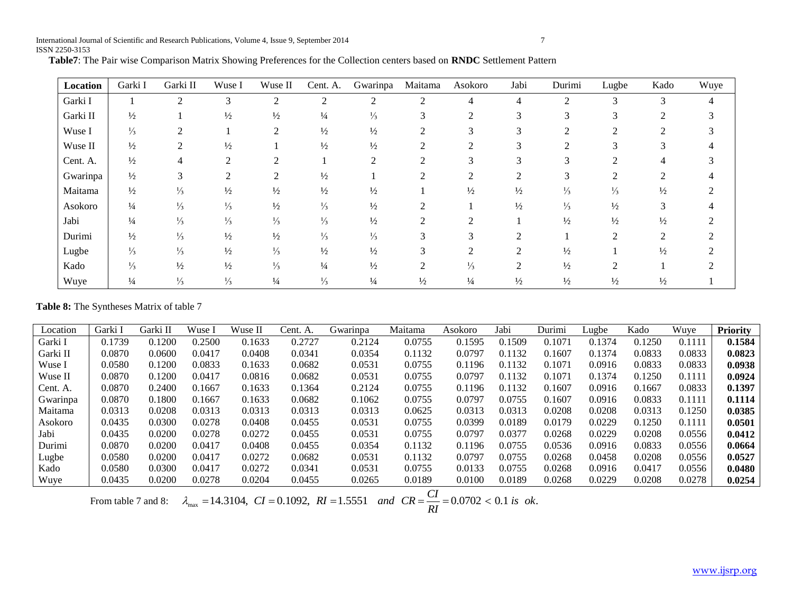| ISSN 2250-3153                                                                                                                        |  |  |
|---------------------------------------------------------------------------------------------------------------------------------------|--|--|
| <b>Table7:</b> The Pair wise Comparison Matrix Showing Preferences for the Collection centers based on <b>RNDC</b> Settlement Pattern |  |  |

| Location | Garki I       | Garki II       | Wuse I         | Wuse II       | Cent. A.      | Gwarinpa       | Maitama       | Asokoro        | Jabi          | Durimi        | Lugbe         | Kado          | Wuye           |
|----------|---------------|----------------|----------------|---------------|---------------|----------------|---------------|----------------|---------------|---------------|---------------|---------------|----------------|
| Garki I  |               | $\overline{2}$ | 3              | 2             | 2             | $\overline{2}$ | 2             | $\overline{4}$ | 4             | 2             | 3             | 3             | $\overline{4}$ |
| Garki II | $\frac{1}{2}$ |                | $\frac{1}{2}$  | $\frac{1}{2}$ | $\frac{1}{4}$ | $\frac{1}{3}$  |               | Δ              | 3             |               |               |               | 3              |
| Wuse I   | $\frac{1}{3}$ | 2              |                | ↑             | $\frac{1}{2}$ | $\frac{1}{2}$  |               | 3              |               |               | ◠             |               | 3              |
| Wuse II  | $\frac{1}{2}$ | $\overline{2}$ | $\frac{1}{2}$  |               | $\frac{1}{2}$ | $\frac{1}{2}$  |               | 2              | ⌒             |               | 3             |               | 4              |
| Cent. A. | $\frac{1}{2}$ | 4              | $\overline{2}$ |               |               | $\mathcal{D}$  |               |                |               |               |               |               | 3              |
| Gwarinpa | $\frac{1}{2}$ | 3              | 2              |               | $\frac{1}{2}$ |                |               | Δ              | ◠             |               |               |               | 4              |
| Maitama  | $\frac{1}{2}$ | $\frac{1}{3}$  | $\frac{1}{2}$  | $\frac{1}{2}$ | $\frac{1}{2}$ | $\frac{1}{2}$  |               | $\frac{1}{2}$  | $\frac{1}{2}$ | $\frac{1}{3}$ | $\frac{1}{3}$ | $\frac{1}{2}$ | 2              |
| Asokoro  | $\frac{1}{4}$ | $\frac{1}{3}$  | $\frac{1}{3}$  | $\frac{1}{2}$ | $\frac{1}{3}$ | $\frac{1}{2}$  |               |                | $\frac{1}{2}$ | $\frac{1}{3}$ | $\frac{1}{2}$ | 3             | 4              |
| Jabi     | $\frac{1}{4}$ | $\frac{1}{3}$  | $\frac{1}{3}$  | $\frac{1}{3}$ | $\frac{1}{3}$ | $1/2$          |               | $\bigcap$      |               | $\frac{1}{2}$ | $\frac{1}{2}$ | $\frac{1}{2}$ | ◠              |
| Durimi   | $\frac{1}{2}$ | $\frac{1}{3}$  | $\frac{1}{2}$  | $\frac{1}{2}$ | $\frac{1}{3}$ | $\frac{1}{3}$  | 3             | 3              |               |               |               |               | C              |
| Lugbe    | $\frac{1}{3}$ | $\frac{1}{3}$  | $\frac{1}{2}$  | $\frac{1}{3}$ | $\frac{1}{2}$ | $\frac{1}{2}$  | 3             | 2              | ◠             | $\frac{1}{2}$ |               | $\frac{1}{2}$ | 2              |
| Kado     | $\frac{1}{3}$ | $\frac{1}{2}$  | $\frac{1}{2}$  | $\frac{1}{3}$ | $\frac{1}{4}$ | $\frac{1}{2}$  | ◠             | $\frac{1}{3}$  | ◠             | $\frac{1}{2}$ |               |               | ◠              |
| Wuye     | $\frac{1}{4}$ | $\frac{1}{3}$  | $\frac{1}{3}$  | $\frac{1}{4}$ | $\frac{1}{3}$ | $\frac{1}{4}$  | $\frac{1}{2}$ | $\frac{1}{4}$  | $\frac{1}{2}$ | $\frac{1}{2}$ | $\frac{1}{2}$ | $\frac{1}{2}$ |                |

**Table 8:** The Syntheses Matrix of table 7

| Location                                                                                                                                    | Garki I | Garki II | Wuse I | Wuse II | Cent. A. | Gwarinpa | Maitama | Asokoro | Jabi   | Durimi | Lugbe  | Kado   | Wuye   | <b>Priority</b> |
|---------------------------------------------------------------------------------------------------------------------------------------------|---------|----------|--------|---------|----------|----------|---------|---------|--------|--------|--------|--------|--------|-----------------|
| Garki I                                                                                                                                     | 0.1739  | 0.1200   | 0.2500 | 0.1633  | 0.2727   | 0.2124   | 0.0755  | 0.1595  | 0.1509 | 0.1071 | 0.1374 | 0.1250 | 0.1111 | 0.1584          |
| Garki II                                                                                                                                    | 0.0870  | 0.0600   | 0.0417 | 0.0408  | 0.0341   | 0.0354   | 0.1132  | 0.0797  | 0.1132 | 0.1607 | 0.1374 | 0.0833 | 0.0833 | 0.0823          |
| Wuse I                                                                                                                                      | 0.0580  | 0.1200   | 0.0833 | 0.1633  | 0.0682   | 0.0531   | 0.0755  | 0.1196  | 0.1132 | 0.1071 | 0.0916 | 0.0833 | 0.0833 | 0.0938          |
| Wuse II                                                                                                                                     | 0.0870  | 0.1200   | 0.0417 | 0.0816  | 0.0682   | 0.0531   | 0.0755  | 0.0797  | 0.1132 | 0.1071 | 0.1374 | 0.1250 | 0.1111 | 0.0924          |
| Cent. A.                                                                                                                                    | 0.0870  | 0.2400   | 0.1667 | 0.1633  | 0.1364   | 0.2124   | 0.0755  | 0.1196  | 0.1132 | 0.1607 | 0.0916 | 0.1667 | 0.0833 | 0.1397          |
| Gwarinpa                                                                                                                                    | 0.0870  | 0.1800   | 0.1667 | 0.1633  | 0.0682   | 0.1062   | 0.0755  | 0.0797  | 0.0755 | 0.1607 | 0.0916 | 0.0833 | 0.1111 | 0.1114          |
| Maitama                                                                                                                                     | 0.0313  | 0.0208   | 0.0313 | 0.0313  | 0.0313   | 0.0313   | 0.0625  | 0.0313  | 0.0313 | 0.0208 | 0.0208 | 0.0313 | 0.1250 | 0.0385          |
| Asokoro                                                                                                                                     | 0.0435  | 0.0300   | 0.0278 | 0.0408  | 0.0455   | 0.0531   | 0.0755  | 0.0399  | 0.0189 | 0.0179 | 0.0229 | 0.1250 | 0.1111 | 0.0501          |
| Jabi                                                                                                                                        | 0.0435  | 0.0200   | 0.0278 | 0.0272  | 0.0455   | 0.0531   | 0.0755  | 0.0797  | 0.0377 | 0.0268 | 0.0229 | 0.0208 | 0.0556 | 0.0412          |
| Durimi                                                                                                                                      | 0.0870  | 0.0200   | 0.0417 | 0.0408  | 0.0455   | 0.0354   | 0.1132  | 0.1196  | 0.0755 | 0.0536 | 0.0916 | 0.0833 | 0.0556 | 0.0664          |
| Lugbe                                                                                                                                       | 0.0580  | 0.0200   | 0.0417 | 0.0272  | 0.0682   | 0.0531   | 0.1132  | 0.0797  | 0.0755 | 0.0268 | 0.0458 | 0.0208 | 0.0556 | 0.0527          |
| Kado                                                                                                                                        | 0.0580  | 0.0300   | 0.0417 | 0.0272  | 0.0341   | 0.0531   | 0.0755  | 0.0133  | 0.0755 | 0.0268 | 0.0916 | 0.0417 | 0.0556 | 0.0480          |
| Wuye                                                                                                                                        | 0.0435  | 0.0200   | 0.0278 | 0.0204  | 0.0455   | 0.0265   | 0.0189  | 0.0100  | 0.0189 | 0.0268 | 0.0229 | 0.0208 | 0.0278 | 0.0254          |
| CI<br>$\lambda_{\text{max}} = 14.3104$ , $CI = 0.1092$ , $RI = 1.5551$ and $CR = \frac{C}{RI} = 0.0702 < 0.1$ is ok.<br>From table 7 and 8: |         |          |        |         |          |          |         |         |        |        |        |        |        |                 |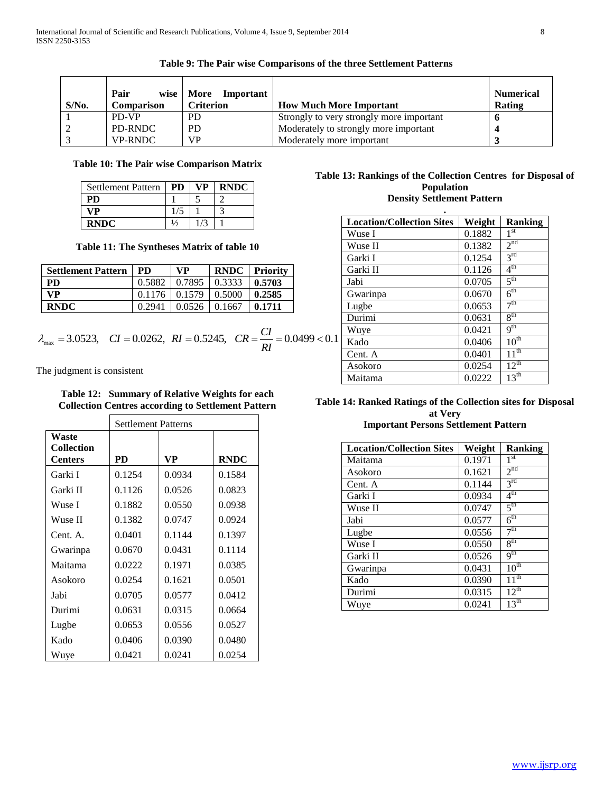|          | Pair<br>wise      | More<br>Important |                                          | <b>Numerical</b> |
|----------|-------------------|-------------------|------------------------------------------|------------------|
| $S/N0$ . | <b>Comparison</b> | <b>Criterion</b>  | <b>How Much More Important</b>           | <b>Rating</b>    |
|          | PD-VP             | PD                | Strongly to very strongly more important |                  |
|          | PD-RNDC           | <b>PD</b>         | Moderately to strongly more important    |                  |
|          | <b>VP-RNDC</b>    | <b>VP</b>         | Moderately more important                |                  |

## **Table 9: The Pair wise Comparisons of the three Settlement Patterns**

### **Table 10: The Pair wise Comparison Matrix**

| <b>Settlement Pattern</b> | <b>PD</b> | <b>RNDC</b> |
|---------------------------|-----------|-------------|
| PD                        |           |             |
|                           |           |             |
| RNDC.                     | '∕າ       |             |

**Table 11: The Syntheses Matrix of table 10**

| <b>Settlement Pattern</b> | PD     | <b>VP</b> | <b>RNDC</b> | Priority |
|---------------------------|--------|-----------|-------------|----------|
| PD                        | 0.5882 | 0.7895    | 0.3333      | 0.5703   |
| VP.                       | 0.1176 | 0.1579    | 0.5000      | 0.2585   |
| <b>RNDC</b>               | 0.2941 | 0.0526    | 0.1667      | 0.1711   |

| RNDC                            | 0.2941        | 0.0526        | 0.1667                                                     | 0.1711 |
|---------------------------------|---------------|---------------|------------------------------------------------------------|--------|
| $\lambda_{\text{max}} = 3.0523$ | $CI = 0.0262$ | $RI = 0.5245$ | $CR = \frac{CI}{RI} = 0.0499 < 0.1 \cdot \frac{Wuy}{Kadd}$ |        |

The judgment is consistent

| Table 12: Summary of Relative Weights for each            |
|-----------------------------------------------------------|
| <b>Collection Centres according to Settlement Pattern</b> |

|                                              | <b>Settlement Patterns</b> |           |             |
|----------------------------------------------|----------------------------|-----------|-------------|
| Waste<br><b>Collection</b><br><b>Centers</b> | <b>PD</b>                  | <b>VP</b> | <b>RNDC</b> |
| Garki I                                      | 0.1254                     | 0.0934    | 0.1584      |
| Garki II                                     | 0.1126                     | 0.0526    | 0.0823      |
| Wuse I                                       | 0.1882                     | 0.0550    | 0.0938      |
| Wuse II                                      | 0.1382                     | 0.0747    | 0.0924      |
| Cent. A.                                     | 0.0401                     | 0.1144    | 0.1397      |
| Gwarinpa                                     | 0.0670                     | 0.0431    | 0.1114      |
| Maitama                                      | 0.0222                     | 0.1971    | 0.0385      |
| Asokoro                                      | 0.0254                     | 0.1621    | 0.0501      |
| Jabi                                         | 0.0705                     | 0.0577    | 0.0412      |
| Durimi                                       | 0.0631                     | 0.0315    | 0.0664      |
| Lugbe                                        | 0.0653                     | 0.0556    | 0.0527      |
| Kado                                         | 0.0406                     | 0.0390    | 0.0480      |
| Wuye                                         | 0.0421                     | 0.0241    | 0.0254      |

### **Table 13: Rankings of the Collection Centres for Disposal of Population Density Settlement Pattern**

| <b>Location/Collection Sites</b> | Weight | <b>Ranking</b>   |
|----------------------------------|--------|------------------|
| Wuse I                           | 0.1882 | 1 <sup>st</sup>  |
| Wuse II                          | 0.1382 | 2 <sup>nd</sup>  |
| Garki I                          | 0.1254 | 3 <sup>rd</sup>  |
| Garki II                         | 0.1126 | 4 <sup>th</sup>  |
| Jabi                             | 0.0705 | 5 <sup>th</sup>  |
| Gwarinpa                         | 0.0670 | 6 <sup>th</sup>  |
| Lugbe                            | 0.0653 | 7 <sup>th</sup>  |
| Durimi                           | 0.0631 | 8 <sup>th</sup>  |
| Wuye                             | 0.0421 | q <sup>th</sup>  |
| Kado                             | 0.0406 | $10^{\text{th}}$ |
| Cent. A                          | 0.0401 | $11^{th}$        |
| Asokoro                          | 0.0254 | $12^{th}$        |
| Maitama                          | 0.0222 | $13^{th}$        |

# **Table 14: Ranked Ratings of the Collection sites for Disposal at Very Important Persons Settlement Pattern**

| <b>Location/Collection Sites</b> | Weight | <b>Ranking</b>   |
|----------------------------------|--------|------------------|
| Maitama                          | 0.1971 | 1 <sup>st</sup>  |
| Asokoro                          | 0.1621 | 2 <sup>nd</sup>  |
| Cent. A                          | 0.1144 | 3 <sup>rd</sup>  |
| Garki I                          | 0.0934 | 4 <sup>th</sup>  |
| Wuse II                          | 0.0747 | 5 <sup>th</sup>  |
| Jabi                             | 0.0577 | $6^{\text{th}}$  |
| Lugbe                            | 0.0556 | 7 <sup>th</sup>  |
| Wuse I                           | 0.0550 | 8 <sup>th</sup>  |
| Garki II                         | 0.0526 | 9 <sup>th</sup>  |
| Gwarinpa                         | 0.0431 | 10 <sup>th</sup> |
| Kado                             | 0.0390 | 11 <sup>th</sup> |
| Durimi                           | 0.0315 | $12^{th}$        |
| Wuye                             | 0.0241 | $13^{\text{th}}$ |